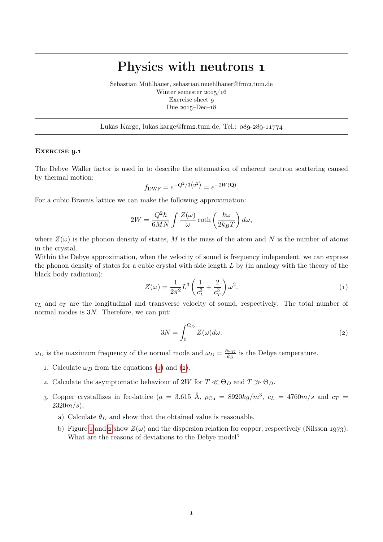## Physics with neutrons

Sebastian Mühlbauer, sebastian.muehlbauer@frm2.tum.de Winter semester  $2015/16$ Exercise sheet Due  $2015 - Dec - 18$ 

Lukas Karge, lukas.karge@frm2.tum.de, Tel.: 089-289-11774

## EXERCISE 9.1

The Debye–Waller factor is used in to describe the attenuation of coherent neutron scattering caused by thermal motion:

$$
f_{\text{DWF}} = e^{-Q^2/3 \langle u^2 \rangle} = e^{-2W(\mathbf{Q})}.
$$

For a cubic Bravais lattice we can make the following approximation:

$$
2W = \frac{Q^2 \hbar}{6MN} \int \frac{Z(\omega)}{\omega} \coth\left(\frac{\hbar \omega}{2k_B T}\right) d\omega,
$$

where  $Z(\omega)$  is the phonon density of states, M is the mass of the atom and N is the number of atoms in the crystal.

Within the Debye approximation, when the velocity of sound is frequency independent, we can express the phonon density of states for a cubic crystal with side length  $L$  by (in analogy with the theory of the black body radiation):

<span id="page-0-0"></span>
$$
Z(\omega) = \frac{1}{2\pi^2} L^3 \left( \frac{1}{c_L^3} + \frac{2}{c_T^3} \right) \omega^2.
$$
 (1)

 $c<sub>L</sub>$  and  $c<sub>T</sub>$  are the longitudinal and transverse velocity of sound, respectively. The total number of normal modes is 3N. Therefore, we can put:

<span id="page-0-1"></span>
$$
3N = \int_0^{\Omega_D} Z(\omega) d\omega.
$$
 (2)

 $\omega_D$  is the maximum frequency of the normal mode and  $\omega_D = \frac{\hbar \omega_D}{k_B}$  $\frac{\omega_D}{k_B}$  is the Debye temperature.

- 1. Calculate  $\omega_D$  from the equations (1) and (2).
- 2. Calculate the asymptomatic behaviour of 2W for  $T \ll \Theta_D$  and  $T \gg \Theta_D$ .
- 3. Copper crystallizes in fcc-lattice ( $a = 3.615$  Å,  $\rho_{Cu} = 8920kg/m^3$ ,  $c_L = 4760m/s$  and  $c_T =$  $2320m/s$ ;
	- a) Calculate  $\theta_D$  and show that the obtained value is reasonable.
	- b) Figure 1 and 2 show  $Z(\omega)$  and the dispersion relation for copper, respectively (Nilsson 1973). What are the reasons of deviations to the Debye model?